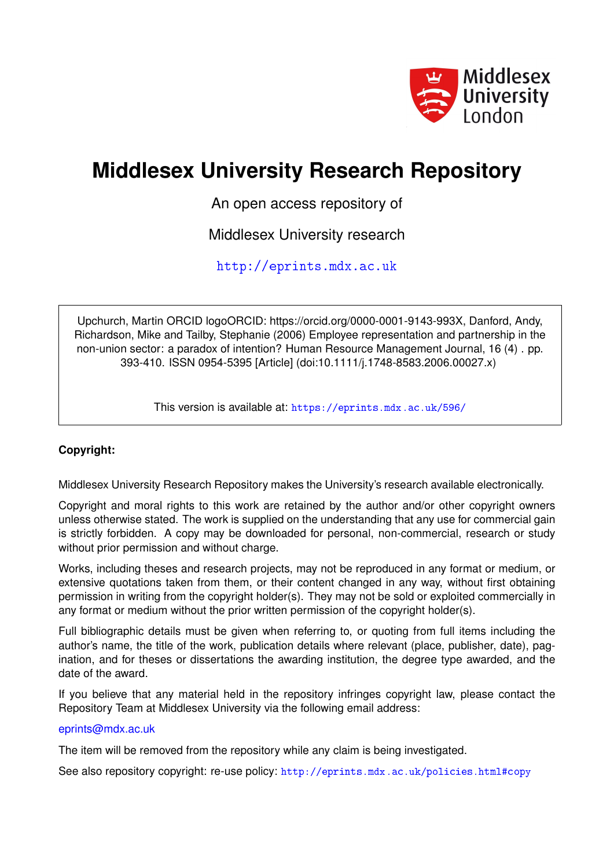

# **Middlesex University Research Repository**

An open access repository of

Middlesex University research

<http://eprints.mdx.ac.uk>

Upchurch, Martin ORCID logoORCID: https://orcid.org/0000-0001-9143-993X, Danford, Andy, Richardson, Mike and Tailby, Stephanie (2006) Employee representation and partnership in the non-union sector: a paradox of intention? Human Resource Management Journal, 16 (4) . pp. 393-410. ISSN 0954-5395 [Article] (doi:10.1111/j.1748-8583.2006.00027.x)

This version is available at: <https://eprints.mdx.ac.uk/596/>

## **Copyright:**

Middlesex University Research Repository makes the University's research available electronically.

Copyright and moral rights to this work are retained by the author and/or other copyright owners unless otherwise stated. The work is supplied on the understanding that any use for commercial gain is strictly forbidden. A copy may be downloaded for personal, non-commercial, research or study without prior permission and without charge.

Works, including theses and research projects, may not be reproduced in any format or medium, or extensive quotations taken from them, or their content changed in any way, without first obtaining permission in writing from the copyright holder(s). They may not be sold or exploited commercially in any format or medium without the prior written permission of the copyright holder(s).

Full bibliographic details must be given when referring to, or quoting from full items including the author's name, the title of the work, publication details where relevant (place, publisher, date), pagination, and for theses or dissertations the awarding institution, the degree type awarded, and the date of the award.

If you believe that any material held in the repository infringes copyright law, please contact the Repository Team at Middlesex University via the following email address:

### [eprints@mdx.ac.uk](mailto:eprints@mdx.ac.uk)

The item will be removed from the repository while any claim is being investigated.

See also repository copyright: re-use policy: <http://eprints.mdx.ac.uk/policies.html#copy>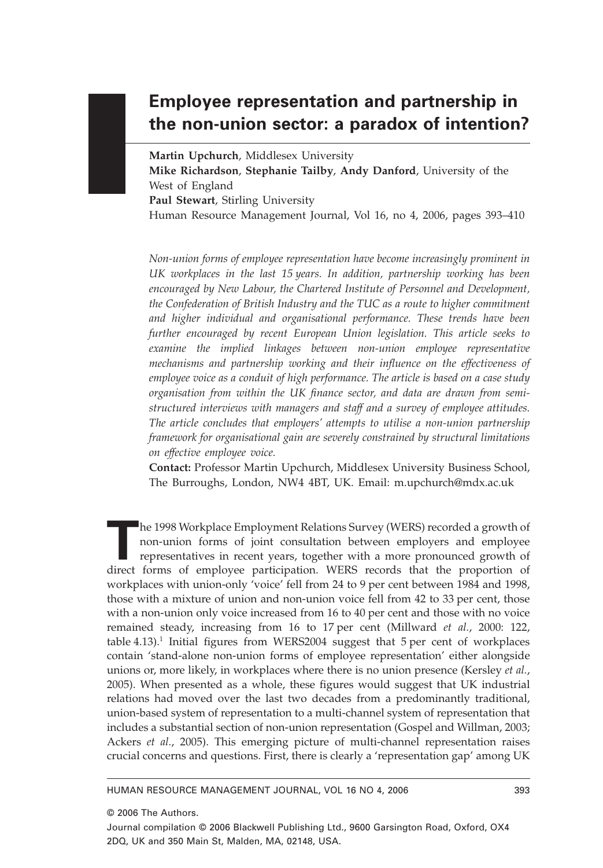# **Employee representation and partnership in the non-union sector: a paradox of intention?**

**Martin Upchurch**, Middlesex University **Mike Richardson**, **Stephanie Tailby**, **Andy Danford**, University of the West of England **Paul Stewart**, Stirling University Human Resource Management Journal, Vol 16, no 4, 2006, pages 393–410

*Non-union forms of employee representation have become increasingly prominent in UK workplaces in the last 15 years. In addition, partnership working has been encouraged by New Labour, the Chartered Institute of Personnel and Development, the Confederation of British Industry and the TUC as a route to higher commitment and higher individual and organisational performance. These trends have been further encouraged by recent European Union legislation. This article seeks to examine the implied linkages between non-union employee representative mechanisms and partnership working and their influence on the effectiveness of employee voice as a conduit of high performance. The article is based on a case study organisation from within the UK finance sector, and data are drawn from semistructured interviews with managers and staff and a survey of employee attitudes. The article concludes that employers' attempts to utilise a non-union partnership framework for organisational gain are severely constrained by structural limitations on effective employee voice.*

**Contact:** Professor Martin Upchurch, Middlesex University Business School, The Burroughs, London, NW4 4BT, UK. Email: m[.upchurch@mdx.ac.uk](mailto:upchurch@mdx.ac.uk)

**T**he 1998 Workplace Employment Relations Survey (WERS) recorded a growth of non-union forms of joint consultation between employers and employee representatives in recent years, together with a more pronounced growth of direct forms of employee participation. WERS records that the proportion of workplaces with union-only 'voice' fell from 24 to 9 per cent between 1984 and 1998, those with a mixture of union and non-union voice fell from 42 to 33 per cent, those with a non-union only voice increased from 16 to 40 per cent and those with no voice remained steady, increasing from 16 to 17 per cent (Millward *et al.*, 2000: 122, table 4.13).1 Initial figures from WERS2004 suggest that 5 per cent of workplaces contain 'stand-alone non-union forms of employee representation' either alongside unions or, more likely, in workplaces where there is no union presence (Kersley *et al.*, 2005). When presented as a whole, these figures would suggest that UK industrial relations had moved over the last two decades from a predominantly traditional, union-based system of representation to a multi-channel system of representation that includes a substantial section of non-union representation (Gospel and Willman, 2003; Ackers *et al.*, 2005). This emerging picture of multi-channel representation raises crucial concerns and questions. First, there is clearly a 'representation gap' among UK

HUMAN RESOURCE MANAGEMENT JOURNAL, VOL 16 NO 4, 2006 393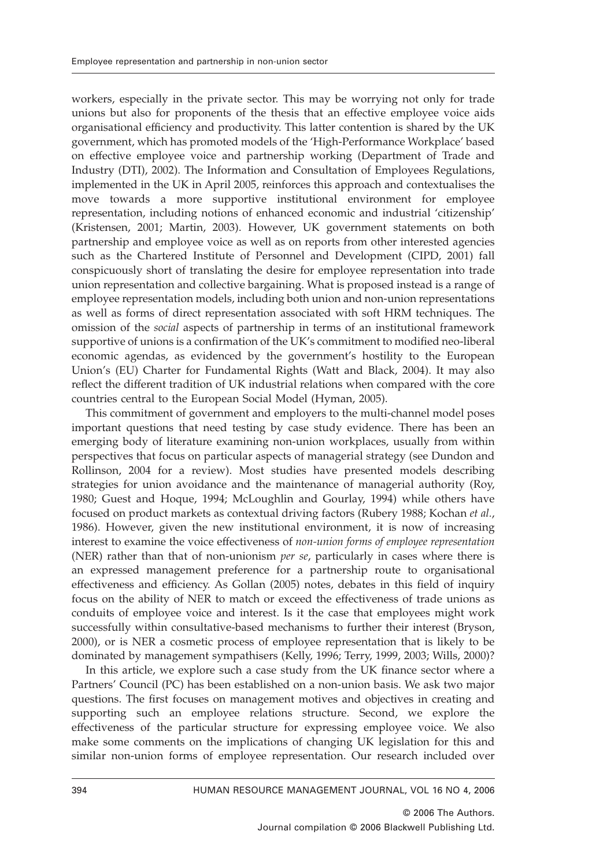workers, especially in the private sector. This may be worrying not only for trade unions but also for proponents of the thesis that an effective employee voice aids organisational efficiency and productivity. This latter contention is shared by the UK government, which has promoted models of the 'High-Performance Workplace' based on effective employee voice and partnership working (Department of Trade and Industry (DTI), 2002). The Information and Consultation of Employees Regulations, implemented in the UK in April 2005, reinforces this approach and contextualises the move towards a more supportive institutional environment for employee representation, including notions of enhanced economic and industrial 'citizenship' (Kristensen, 2001; Martin, 2003). However, UK government statements on both partnership and employee voice as well as on reports from other interested agencies such as the Chartered Institute of Personnel and Development (CIPD, 2001) fall conspicuously short of translating the desire for employee representation into trade union representation and collective bargaining. What is proposed instead is a range of employee representation models, including both union and non-union representations as well as forms of direct representation associated with soft HRM techniques. The omission of the *social* aspects of partnership in terms of an institutional framework supportive of unions is a confirmation of the UK's commitment to modified neo-liberal economic agendas, as evidenced by the government's hostility to the European Union's (EU) Charter for Fundamental Rights (Watt and Black, 2004). It may also reflect the different tradition of UK industrial relations when compared with the core countries central to the European Social Model (Hyman, 2005).

This commitment of government and employers to the multi-channel model poses important questions that need testing by case study evidence. There has been an emerging body of literature examining non-union workplaces, usually from within perspectives that focus on particular aspects of managerial strategy (see Dundon and Rollinson, 2004 for a review). Most studies have presented models describing strategies for union avoidance and the maintenance of managerial authority (Roy, 1980; Guest and Hoque, 1994; McLoughlin and Gourlay, 1994) while others have focused on product markets as contextual driving factors (Rubery 1988; Kochan *et al.*, 1986). However, given the new institutional environment, it is now of increasing interest to examine the voice effectiveness of *non-union forms of employee representation* (NER) rather than that of non-unionism *per se*, particularly in cases where there is an expressed management preference for a partnership route to organisational effectiveness and efficiency. As Gollan (2005) notes, debates in this field of inquiry focus on the ability of NER to match or exceed the effectiveness of trade unions as conduits of employee voice and interest. Is it the case that employees might work successfully within consultative-based mechanisms to further their interest (Bryson, 2000), or is NER a cosmetic process of employee representation that is likely to be dominated by management sympathisers (Kelly, 1996; Terry, 1999, 2003; Wills, 2000)?

In this article, we explore such a case study from the UK finance sector where a Partners' Council (PC) has been established on a non-union basis. We ask two major questions. The first focuses on management motives and objectives in creating and supporting such an employee relations structure. Second, we explore the effectiveness of the particular structure for expressing employee voice. We also make some comments on the implications of changing UK legislation for this and similar non-union forms of employee representation. Our research included over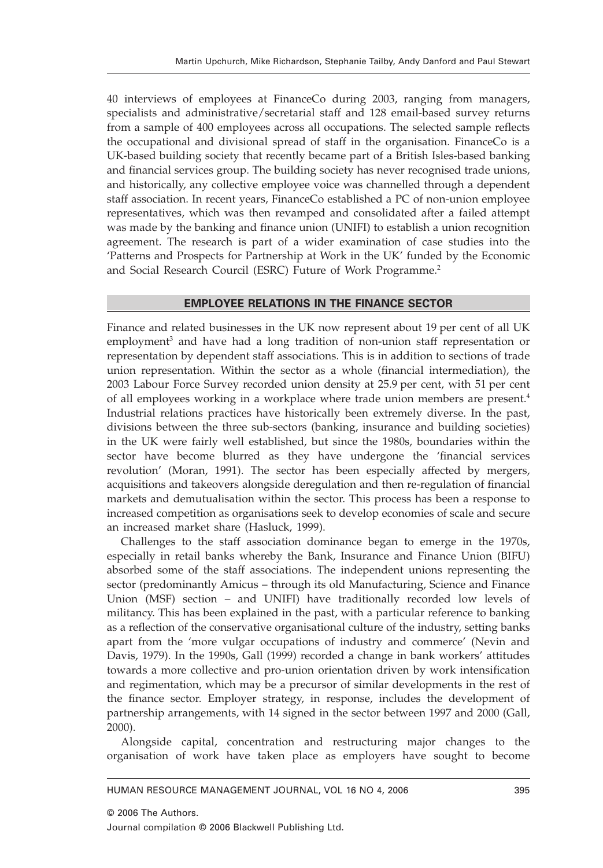40 interviews of employees at FinanceCo during 2003, ranging from managers, specialists and administrative/secretarial staff and 128 email-based survey returns from a sample of 400 employees across all occupations. The selected sample reflects the occupational and divisional spread of staff in the organisation. FinanceCo is a UK-based building society that recently became part of a British Isles-based banking and financial services group. The building society has never recognised trade unions, and historically, any collective employee voice was channelled through a dependent staff association. In recent years, FinanceCo established a PC of non-union employee representatives, which was then revamped and consolidated after a failed attempt was made by the banking and finance union (UNIFI) to establish a union recognition agreement. The research is part of a wider examination of case studies into the 'Patterns and Prospects for Partnership at Work in the UK' funded by the Economic and Social Research Courcil (ESRC) Future of Work Programme.<sup>2</sup>

#### **EMPLOYEE RELATIONS IN THE FINANCE SECTOR**

Finance and related businesses in the UK now represent about 19 per cent of all UK employment<sup>3</sup> and have had a long tradition of non-union staff representation or representation by dependent staff associations. This is in addition to sections of trade union representation. Within the sector as a whole (financial intermediation), the 2003 Labour Force Survey recorded union density at 25.9 per cent, with 51 per cent of all employees working in a workplace where trade union members are present.<sup>4</sup> Industrial relations practices have historically been extremely diverse. In the past, divisions between the three sub-sectors (banking, insurance and building societies) in the UK were fairly well established, but since the 1980s, boundaries within the sector have become blurred as they have undergone the 'financial services revolution' (Moran, 1991). The sector has been especially affected by mergers, acquisitions and takeovers alongside deregulation and then re-regulation of financial markets and demutualisation within the sector. This process has been a response to increased competition as organisations seek to develop economies of scale and secure an increased market share (Hasluck, 1999).

Challenges to the staff association dominance began to emerge in the 1970s, especially in retail banks whereby the Bank, Insurance and Finance Union (BIFU) absorbed some of the staff associations. The independent unions representing the sector (predominantly Amicus – through its old Manufacturing, Science and Finance Union (MSF) section – and UNIFI) have traditionally recorded low levels of militancy. This has been explained in the past, with a particular reference to banking as a reflection of the conservative organisational culture of the industry, setting banks apart from the 'more vulgar occupations of industry and commerce' (Nevin and Davis, 1979). In the 1990s, Gall (1999) recorded a change in bank workers' attitudes towards a more collective and pro-union orientation driven by work intensification and regimentation, which may be a precursor of similar developments in the rest of the finance sector. Employer strategy, in response, includes the development of partnership arrangements, with 14 signed in the sector between 1997 and 2000 (Gall, 2000).

Alongside capital, concentration and restructuring major changes to the organisation of work have taken place as employers have sought to become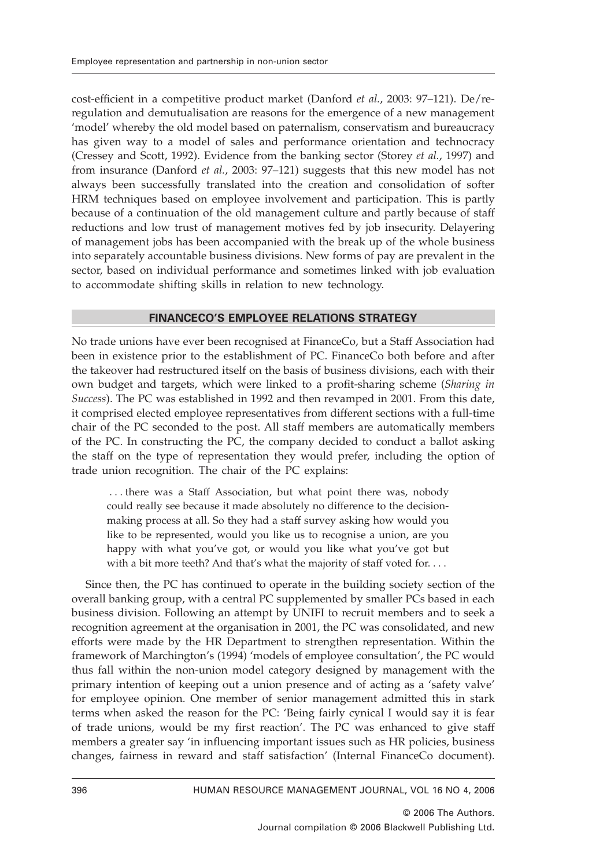cost-efficient in a competitive product market (Danford *et al.*, 2003: 97–121). De/reregulation and demutualisation are reasons for the emergence of a new management 'model' whereby the old model based on paternalism, conservatism and bureaucracy has given way to a model of sales and performance orientation and technocracy (Cressey and Scott, 1992). Evidence from the banking sector (Storey *et al.*, 1997) and from insurance (Danford *et al.*, 2003: 97–121) suggests that this new model has not always been successfully translated into the creation and consolidation of softer HRM techniques based on employee involvement and participation. This is partly because of a continuation of the old management culture and partly because of staff reductions and low trust of management motives fed by job insecurity. Delayering of management jobs has been accompanied with the break up of the whole business into separately accountable business divisions. New forms of pay are prevalent in the sector, based on individual performance and sometimes linked with job evaluation to accommodate shifting skills in relation to new technology.

#### **FINANCECO'S EMPLOYEE RELATIONS STRATEGY**

No trade unions have ever been recognised at FinanceCo, but a Staff Association had been in existence prior to the establishment of PC. FinanceCo both before and after the takeover had restructured itself on the basis of business divisions, each with their own budget and targets, which were linked to a profit-sharing scheme (*Sharing in Success*). The PC was established in 1992 and then revamped in 2001. From this date, it comprised elected employee representatives from different sections with a full-time chair of the PC seconded to the post. All staff members are automatically members of the PC. In constructing the PC, the company decided to conduct a ballot asking the staff on the type of representation they would prefer, including the option of trade union recognition. The chair of the PC explains:

. . . there was a Staff Association, but what point there was, nobody could really see because it made absolutely no difference to the decisionmaking process at all. So they had a staff survey asking how would you like to be represented, would you like us to recognise a union, are you happy with what you've got, or would you like what you've got but with a bit more teeth? And that's what the majority of staff voted for....

Since then, the PC has continued to operate in the building society section of the overall banking group, with a central PC supplemented by smaller PCs based in each business division. Following an attempt by UNIFI to recruit members and to seek a recognition agreement at the organisation in 2001, the PC was consolidated, and new efforts were made by the HR Department to strengthen representation. Within the framework of Marchington's (1994) 'models of employee consultation', the PC would thus fall within the non-union model category designed by management with the primary intention of keeping out a union presence and of acting as a 'safety valve' for employee opinion. One member of senior management admitted this in stark terms when asked the reason for the PC: 'Being fairly cynical I would say it is fear of trade unions, would be my first reaction'. The PC was enhanced to give staff members a greater say 'in influencing important issues such as HR policies, business changes, fairness in reward and staff satisfaction' (Internal FinanceCo document).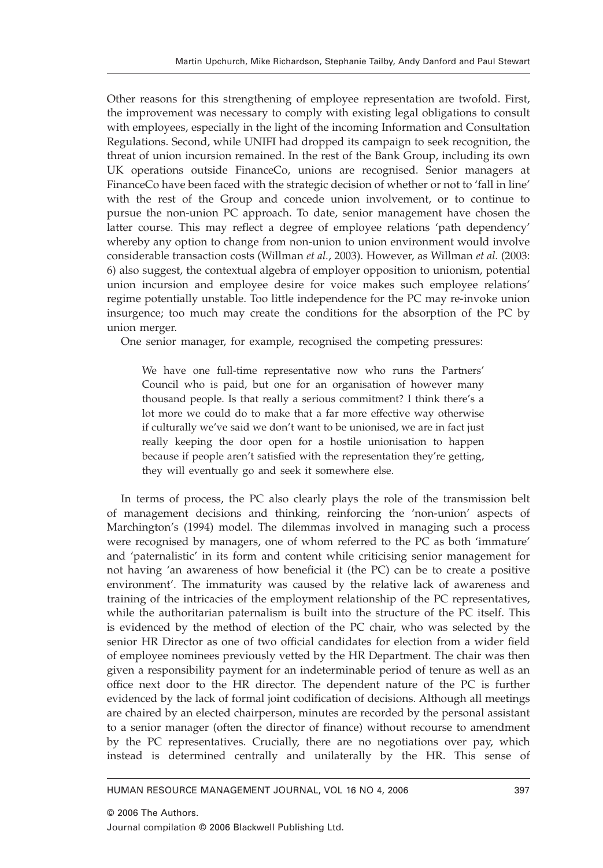Other reasons for this strengthening of employee representation are twofold. First, the improvement was necessary to comply with existing legal obligations to consult with employees, especially in the light of the incoming Information and Consultation Regulations. Second, while UNIFI had dropped its campaign to seek recognition, the threat of union incursion remained. In the rest of the Bank Group, including its own UK operations outside FinanceCo, unions are recognised. Senior managers at FinanceCo have been faced with the strategic decision of whether or not to 'fall in line' with the rest of the Group and concede union involvement, or to continue to pursue the non-union PC approach. To date, senior management have chosen the latter course. This may reflect a degree of employee relations 'path dependency' whereby any option to change from non-union to union environment would involve considerable transaction costs (Willman *et al.*, 2003). However, as Willman *et al.* (2003: 6) also suggest, the contextual algebra of employer opposition to unionism, potential union incursion and employee desire for voice makes such employee relations' regime potentially unstable. Too little independence for the PC may re-invoke union insurgence; too much may create the conditions for the absorption of the PC by union merger.

One senior manager, for example, recognised the competing pressures:

We have one full-time representative now who runs the Partners' Council who is paid, but one for an organisation of however many thousand people. Is that really a serious commitment? I think there's a lot more we could do to make that a far more effective way otherwise if culturally we've said we don't want to be unionised, we are in fact just really keeping the door open for a hostile unionisation to happen because if people aren't satisfied with the representation they're getting, they will eventually go and seek it somewhere else.

In terms of process, the PC also clearly plays the role of the transmission belt of management decisions and thinking, reinforcing the 'non-union' aspects of Marchington's (1994) model. The dilemmas involved in managing such a process were recognised by managers, one of whom referred to the PC as both 'immature' and 'paternalistic' in its form and content while criticising senior management for not having 'an awareness of how beneficial it (the PC) can be to create a positive environment'. The immaturity was caused by the relative lack of awareness and training of the intricacies of the employment relationship of the PC representatives, while the authoritarian paternalism is built into the structure of the PC itself. This is evidenced by the method of election of the PC chair, who was selected by the senior HR Director as one of two official candidates for election from a wider field of employee nominees previously vetted by the HR Department. The chair was then given a responsibility payment for an indeterminable period of tenure as well as an office next door to the HR director. The dependent nature of the PC is further evidenced by the lack of formal joint codification of decisions. Although all meetings are chaired by an elected chairperson, minutes are recorded by the personal assistant to a senior manager (often the director of finance) without recourse to amendment by the PC representatives. Crucially, there are no negotiations over pay, which instead is determined centrally and unilaterally by the HR. This sense of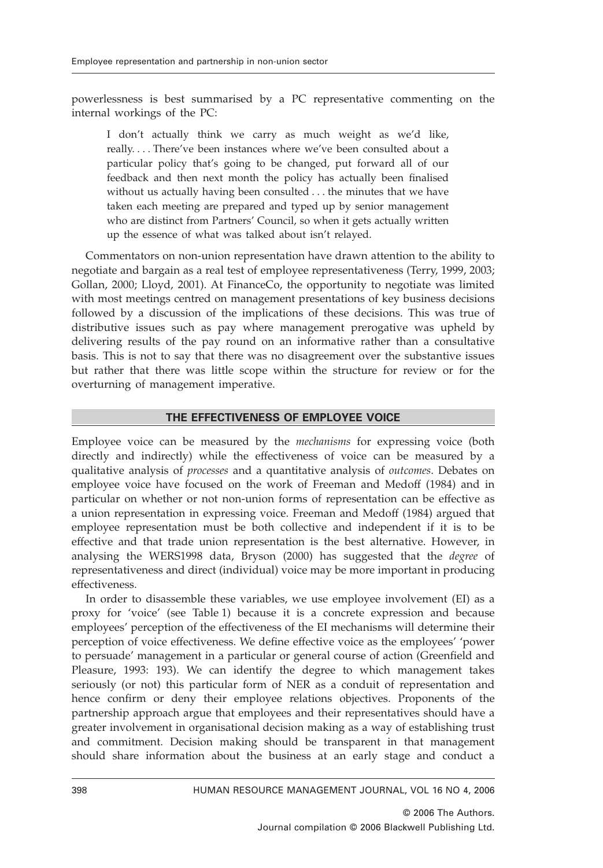powerlessness is best summarised by a PC representative commenting on the internal workings of the PC:

I don't actually think we carry as much weight as we'd like, really.... There've been instances where we've been consulted about a particular policy that's going to be changed, put forward all of our feedback and then next month the policy has actually been finalised without us actually having been consulted . . . the minutes that we have taken each meeting are prepared and typed up by senior management who are distinct from Partners' Council, so when it gets actually written up the essence of what was talked about isn't relayed.

Commentators on non-union representation have drawn attention to the ability to negotiate and bargain as a real test of employee representativeness (Terry, 1999, 2003; Gollan, 2000; Lloyd, 2001). At FinanceCo, the opportunity to negotiate was limited with most meetings centred on management presentations of key business decisions followed by a discussion of the implications of these decisions. This was true of distributive issues such as pay where management prerogative was upheld by delivering results of the pay round on an informative rather than a consultative basis. This is not to say that there was no disagreement over the substantive issues but rather that there was little scope within the structure for review or for the overturning of management imperative.

#### **THE EFFECTIVENESS OF EMPLOYEE VOICE**

Employee voice can be measured by the *mechanisms* for expressing voice (both directly and indirectly) while the effectiveness of voice can be measured by a qualitative analysis of *processes* and a quantitative analysis of *outcomes*. Debates on employee voice have focused on the work of Freeman and Medoff (1984) and in particular on whether or not non-union forms of representation can be effective as a union representation in expressing voice. Freeman and Medoff (1984) argued that employee representation must be both collective and independent if it is to be effective and that trade union representation is the best alternative. However, in analysing the WERS1998 data, Bryson (2000) has suggested that the *degree* of representativeness and direct (individual) voice may be more important in producing effectiveness.

In order to disassemble these variables, we use employee involvement (EI) as a proxy for 'voice' (see Table 1) because it is a concrete expression and because employees' perception of the effectiveness of the EI mechanisms will determine their perception of voice effectiveness. We define effective voice as the employees' 'power to persuade' management in a particular or general course of action (Greenfield and Pleasure, 1993: 193). We can identify the degree to which management takes seriously (or not) this particular form of NER as a conduit of representation and hence confirm or deny their employee relations objectives. Proponents of the partnership approach argue that employees and their representatives should have a greater involvement in organisational decision making as a way of establishing trust and commitment. Decision making should be transparent in that management should share information about the business at an early stage and conduct a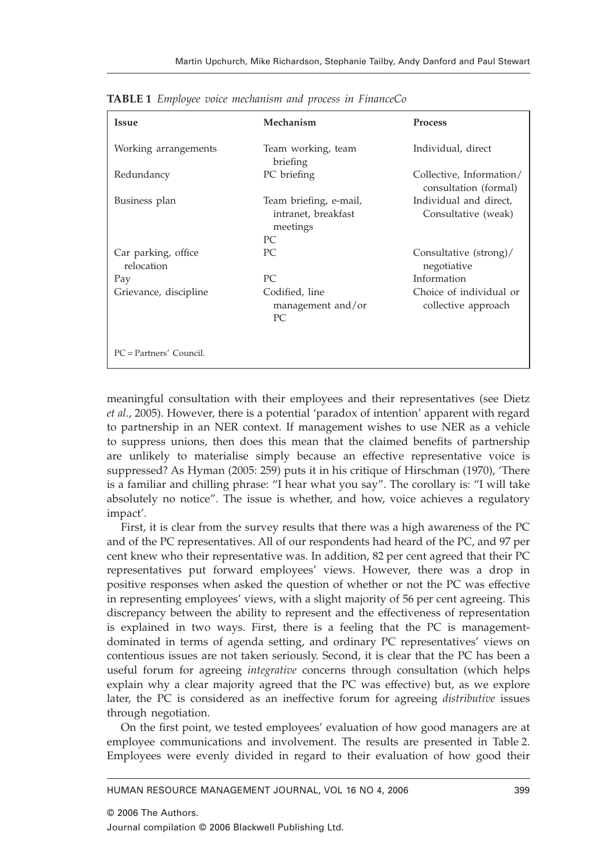| <b>Issue</b>                      | Mechanism                                                       | Process                                           |
|-----------------------------------|-----------------------------------------------------------------|---------------------------------------------------|
| Working arrangements              | Team working, team<br>briefing                                  | Individual, direct                                |
| Redundancy                        | PC briefing                                                     | Collective, Information/<br>consultation (formal) |
| Business plan                     | Team briefing, e-mail,<br>intranet, breakfast<br>meetings<br>РC | Individual and direct,<br>Consultative (weak)     |
| Car parking, office<br>relocation | PC.                                                             | Consultative (strong)/<br>negotiative             |
| Pay                               | PC.                                                             | Information                                       |
| Grievance, discipline             | Codified, line<br>management and/or<br>PC.                      | Choice of individual or<br>collective approach    |
| PC = Partners' Council.           |                                                                 |                                                   |

**TABLE 1** *Employee voice mechanism and process in FinanceCo*

meaningful consultation with their employees and their representatives (see Dietz *et al.*, 2005). However, there is a potential 'paradox of intention' apparent with regard to partnership in an NER context. If management wishes to use NER as a vehicle to suppress unions, then does this mean that the claimed benefits of partnership are unlikely to materialise simply because an effective representative voice is suppressed? As Hyman (2005: 259) puts it in his critique of Hirschman (1970), 'There is a familiar and chilling phrase: "I hear what you say". The corollary is: "I will take absolutely no notice". The issue is whether, and how, voice achieves a regulatory impact'.

First, it is clear from the survey results that there was a high awareness of the PC and of the PC representatives. All of our respondents had heard of the PC, and 97 per cent knew who their representative was. In addition, 82 per cent agreed that their PC representatives put forward employees' views. However, there was a drop in positive responses when asked the question of whether or not the PC was effective in representing employees' views, with a slight majority of 56 per cent agreeing. This discrepancy between the ability to represent and the effectiveness of representation is explained in two ways. First, there is a feeling that the PC is managementdominated in terms of agenda setting, and ordinary PC representatives' views on contentious issues are not taken seriously. Second, it is clear that the PC has been a useful forum for agreeing *integrative* concerns through consultation (which helps explain why a clear majority agreed that the PC was effective) but, as we explore later, the PC is considered as an ineffective forum for agreeing *distributive* issues through negotiation.

On the first point, we tested employees' evaluation of how good managers are at employee communications and involvement. The results are presented in Table 2. Employees were evenly divided in regard to their evaluation of how good their

HUMAN RESOURCE MANAGEMENT JOURNAL, VOL 16 NO 4, 2006 399

Journal compilation © 2006 Blackwell Publishing Ltd.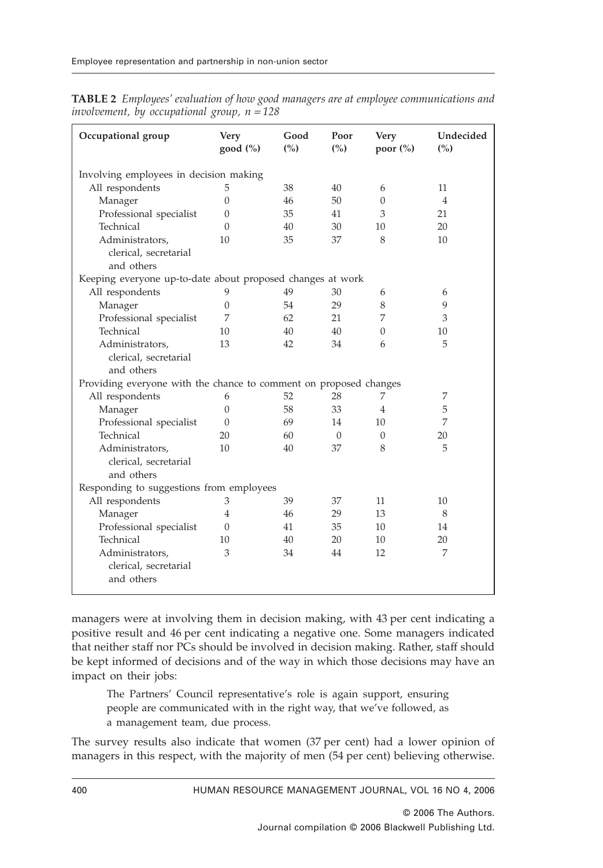| Occupational group                                                | <b>Very</b><br>good (%) | Good<br>(%) | Poor<br>(%) | <b>Very</b><br>poor $(\%)$ | Undecided<br>(%) |  |
|-------------------------------------------------------------------|-------------------------|-------------|-------------|----------------------------|------------------|--|
| Involving employees in decision making                            |                         |             |             |                            |                  |  |
| All respondents                                                   | 5                       | 38          | 40          | 6                          | 11               |  |
| Manager                                                           | $\Omega$                | 46          | 50          | $\Omega$                   | 4                |  |
| Professional specialist                                           | $\Omega$                | 35          | 41          | 3                          | 21               |  |
| Technical                                                         | $\Omega$                | 40          | 30          | 10                         | 20               |  |
| Administrators,<br>clerical, secretarial<br>and others            | 10                      | 35          | 37          | 8                          | 10               |  |
| Keeping everyone up-to-date about proposed changes at work        |                         |             |             |                            |                  |  |
| All respondents                                                   | 9                       | 49          | 30          | 6                          | 6                |  |
| Manager                                                           | $\theta$                | 54          | 29          | 8                          | 9                |  |
| Professional specialist                                           | 7                       | 62          | 21.         | 7                          | 3                |  |
| Technical                                                         | 10                      | 40          | 40          | $\Omega$                   | 10               |  |
| Administrators.                                                   | 13                      | 42          | 34          | 6                          | 5                |  |
| clerical, secretarial<br>and others                               |                         |             |             |                            |                  |  |
| Providing everyone with the chance to comment on proposed changes |                         |             |             |                            |                  |  |
| All respondents                                                   | 6                       | 52          | 28          | 7                          | 7                |  |
| Manager                                                           | $\Omega$                | 58          | 33          | 4                          | 5                |  |
| Professional specialist                                           | $\Omega$                | 69          | 14          | 10                         | 7                |  |
| Technical                                                         | 20                      | 60          | $\Omega$    | $\Omega$                   | 20               |  |
| Administrators,<br>clerical, secretarial<br>and others            | 10                      | 40          | 37          | 8                          | 5                |  |
| Responding to suggestions from employees                          |                         |             |             |                            |                  |  |
| All respondents                                                   | 3                       | 39          | 37          | 11                         | 10               |  |
| Manager                                                           | 4                       | 46          | 29          | 13                         | 8                |  |
| Professional specialist                                           | $\Omega$                | 41          | 35          | 10                         | 14               |  |
| Technical                                                         | 10                      | 40          | 20          | 10                         | 20               |  |
| Administrators.<br>clerical, secretarial<br>and others            | 3                       | 34          | 44          | 12                         | 7                |  |

**TABLE 2** *Employees' evaluation of how good managers are at employee communications and involvement, by occupational group, n* = *128*

managers were at involving them in decision making, with 43 per cent indicating a positive result and 46 per cent indicating a negative one. Some managers indicated that neither staff nor PCs should be involved in decision making. Rather, staff should be kept informed of decisions and of the way in which those decisions may have an impact on their jobs:

The Partners' Council representative's role is again support, ensuring people are communicated with in the right way, that we've followed, as a management team, due process.

The survey results also indicate that women (37 per cent) had a lower opinion of managers in this respect, with the majority of men (54 per cent) believing otherwise.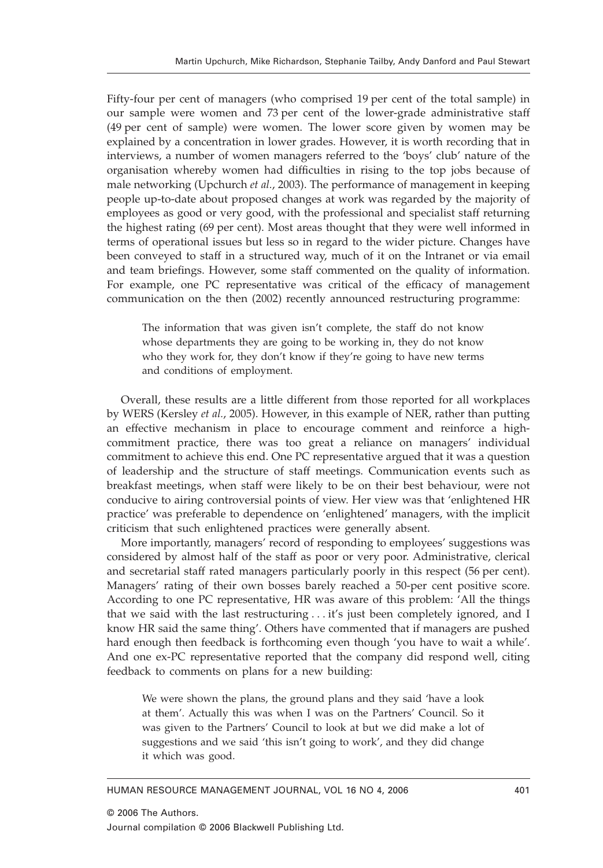Fifty-four per cent of managers (who comprised 19 per cent of the total sample) in our sample were women and 73 per cent of the lower-grade administrative staff (49 per cent of sample) were women. The lower score given by women may be explained by a concentration in lower grades. However, it is worth recording that in interviews, a number of women managers referred to the 'boys' club' nature of the organisation whereby women had difficulties in rising to the top jobs because of male networking (Upchurch *et al.*, 2003). The performance of management in keeping people up-to-date about proposed changes at work was regarded by the majority of employees as good or very good, with the professional and specialist staff returning the highest rating (69 per cent). Most areas thought that they were well informed in terms of operational issues but less so in regard to the wider picture. Changes have been conveyed to staff in a structured way, much of it on the Intranet or via email and team briefings. However, some staff commented on the quality of information. For example, one PC representative was critical of the efficacy of management communication on the then (2002) recently announced restructuring programme:

The information that was given isn't complete, the staff do not know whose departments they are going to be working in, they do not know who they work for, they don't know if they're going to have new terms and conditions of employment.

Overall, these results are a little different from those reported for all workplaces by WERS (Kersley *et al.*, 2005). However, in this example of NER, rather than putting an effective mechanism in place to encourage comment and reinforce a highcommitment practice, there was too great a reliance on managers' individual commitment to achieve this end. One PC representative argued that it was a question of leadership and the structure of staff meetings. Communication events such as breakfast meetings, when staff were likely to be on their best behaviour, were not conducive to airing controversial points of view. Her view was that 'enlightened HR practice' was preferable to dependence on 'enlightened' managers, with the implicit criticism that such enlightened practices were generally absent.

More importantly, managers' record of responding to employees' suggestions was considered by almost half of the staff as poor or very poor. Administrative, clerical and secretarial staff rated managers particularly poorly in this respect (56 per cent). Managers' rating of their own bosses barely reached a 50-per cent positive score. According to one PC representative, HR was aware of this problem: 'All the things that we said with the last restructuring... it's just been completely ignored, and I know HR said the same thing'. Others have commented that if managers are pushed hard enough then feedback is forthcoming even though 'you have to wait a while'. And one ex-PC representative reported that the company did respond well, citing feedback to comments on plans for a new building:

We were shown the plans, the ground plans and they said 'have a look at them'. Actually this was when I was on the Partners' Council. So it was given to the Partners' Council to look at but we did make a lot of suggestions and we said 'this isn't going to work', and they did change it which was good.

HUMAN RESOURCE MANAGEMENT JOURNAL, VOL 16 NO 4, 2006 401

© 2006 The Authors.

Journal compilation © 2006 Blackwell Publishing Ltd.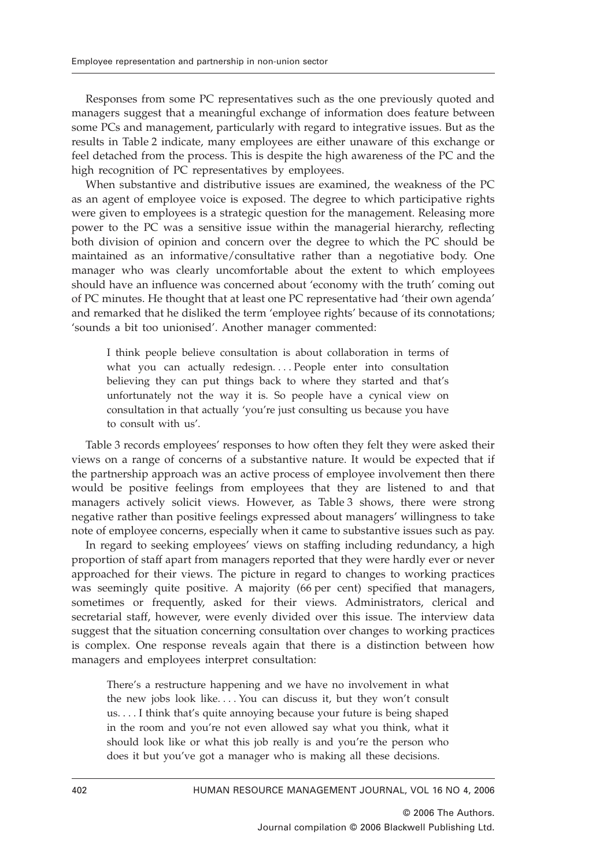Responses from some PC representatives such as the one previously quoted and managers suggest that a meaningful exchange of information does feature between some PCs and management, particularly with regard to integrative issues. But as the results in Table 2 indicate, many employees are either unaware of this exchange or feel detached from the process. This is despite the high awareness of the PC and the high recognition of PC representatives by employees.

When substantive and distributive issues are examined, the weakness of the PC as an agent of employee voice is exposed. The degree to which participative rights were given to employees is a strategic question for the management. Releasing more power to the PC was a sensitive issue within the managerial hierarchy, reflecting both division of opinion and concern over the degree to which the PC should be maintained as an informative/consultative rather than a negotiative body. One manager who was clearly uncomfortable about the extent to which employees should have an influence was concerned about 'economy with the truth' coming out of PC minutes. He thought that at least one PC representative had 'their own agenda' and remarked that he disliked the term 'employee rights' because of its connotations; 'sounds a bit too unionised'. Another manager commented:

I think people believe consultation is about collaboration in terms of what you can actually redesign.... People enter into consultation believing they can put things back to where they started and that's unfortunately not the way it is. So people have a cynical view on consultation in that actually 'you're just consulting us because you have to consult with us'.

Table 3 records employees' responses to how often they felt they were asked their views on a range of concerns of a substantive nature. It would be expected that if the partnership approach was an active process of employee involvement then there would be positive feelings from employees that they are listened to and that managers actively solicit views. However, as Table 3 shows, there were strong negative rather than positive feelings expressed about managers' willingness to take note of employee concerns, especially when it came to substantive issues such as pay.

In regard to seeking employees' views on staffing including redundancy, a high proportion of staff apart from managers reported that they were hardly ever or never approached for their views. The picture in regard to changes to working practices was seemingly quite positive. A majority (66 per cent) specified that managers, sometimes or frequently, asked for their views. Administrators, clerical and secretarial staff, however, were evenly divided over this issue. The interview data suggest that the situation concerning consultation over changes to working practices is complex. One response reveals again that there is a distinction between how managers and employees interpret consultation:

There's a restructure happening and we have no involvement in what the new jobs look like. . . . You can discuss it, but they won't consult us. . . . I think that's quite annoying because your future is being shaped in the room and you're not even allowed say what you think, what it should look like or what this job really is and you're the person who does it but you've got a manager who is making all these decisions.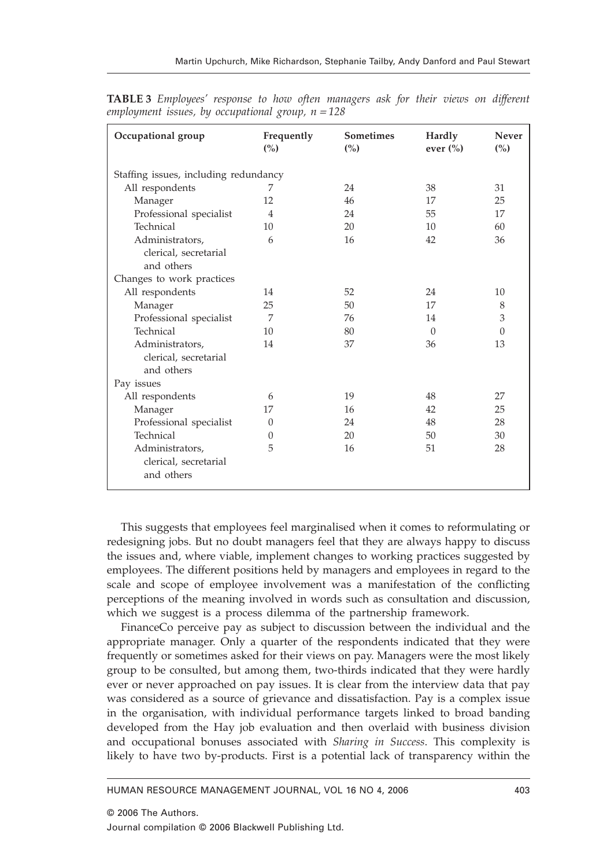| Occupational group                    | Frequently<br>(%) | <b>Sometimes</b><br>(%) | Hardly<br>ever $\left(\frac{0}{0}\right)$ | Never<br>(%) |  |
|---------------------------------------|-------------------|-------------------------|-------------------------------------------|--------------|--|
| Staffing issues, including redundancy |                   |                         |                                           |              |  |
| All respondents                       | 7                 | 24                      | 38                                        | 31           |  |
| Manager                               | 12                | 46                      | 17                                        | 25           |  |
| Professional specialist               | $\overline{4}$    | 24                      | 55                                        | 17           |  |
| Technical                             | 10                | 20                      | 10                                        | 60           |  |
| Administrators,                       | 6                 | 16                      | 42                                        | 36           |  |
| clerical, secretarial                 |                   |                         |                                           |              |  |
| and others                            |                   |                         |                                           |              |  |
| Changes to work practices             |                   |                         |                                           |              |  |
| All respondents                       | 14                | 52                      | 24                                        | 10           |  |
| Manager                               | 25                | 50                      | 17                                        | 8            |  |
| Professional specialist               | 7                 | 76                      | 14                                        | 3            |  |
| Technical                             | 10                | 80                      | $\Omega$                                  | $\Omega$     |  |
| Administrators,                       | 14                | 37                      | 36                                        | 13           |  |
| clerical, secretarial                 |                   |                         |                                           |              |  |
| and others                            |                   |                         |                                           |              |  |
| Pay issues                            |                   |                         |                                           |              |  |
| All respondents                       | 6                 | 19                      | 48                                        | 27           |  |
| Manager                               | 17                | 16                      | 42                                        | 25           |  |
| Professional specialist               | $\Omega$          | 24                      | 48                                        | 28           |  |
| Technical                             | $\Omega$          | 20                      | 50                                        | 30           |  |
| Administrators,                       | 5                 | 16                      | 51                                        | 28           |  |
| clerical, secretarial                 |                   |                         |                                           |              |  |
| and others                            |                   |                         |                                           |              |  |

**TABLE 3** *Employees' response to how often managers ask for their views on different employment issues, by occupational group, n* = *128*

This suggests that employees feel marginalised when it comes to reformulating or redesigning jobs. But no doubt managers feel that they are always happy to discuss the issues and, where viable, implement changes to working practices suggested by employees. The different positions held by managers and employees in regard to the scale and scope of employee involvement was a manifestation of the conflicting perceptions of the meaning involved in words such as consultation and discussion, which we suggest is a process dilemma of the partnership framework.

FinanceCo perceive pay as subject to discussion between the individual and the appropriate manager. Only a quarter of the respondents indicated that they were frequently or sometimes asked for their views on pay. Managers were the most likely group to be consulted, but among them, two-thirds indicated that they were hardly ever or never approached on pay issues. It is clear from the interview data that pay was considered as a source of grievance and dissatisfaction. Pay is a complex issue in the organisation, with individual performance targets linked to broad banding developed from the Hay job evaluation and then overlaid with business division and occupational bonuses associated with *Sharing in Success*. This complexity is likely to have two by-products. First is a potential lack of transparency within the

HUMAN RESOURCE MANAGEMENT JOURNAL, VOL 16 NO 4, 2006 403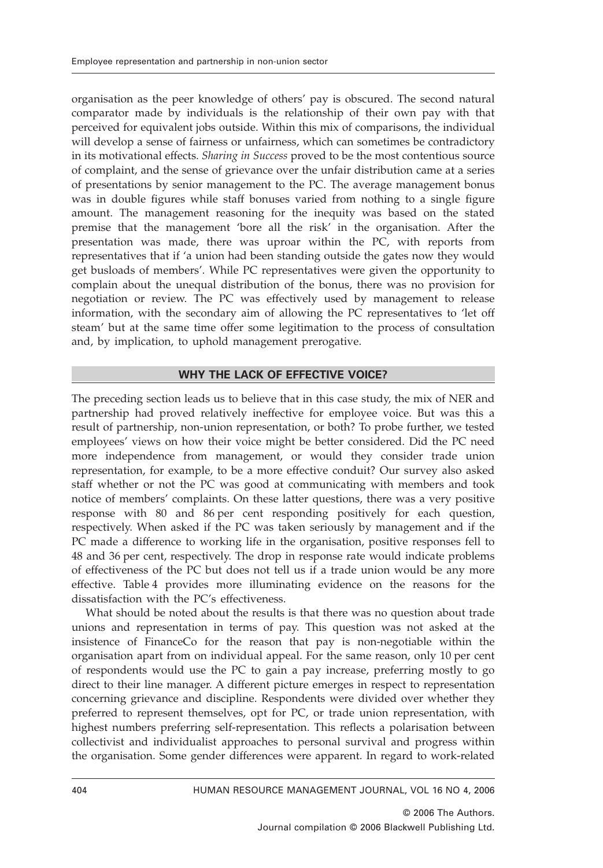organisation as the peer knowledge of others' pay is obscured. The second natural comparator made by individuals is the relationship of their own pay with that perceived for equivalent jobs outside. Within this mix of comparisons, the individual will develop a sense of fairness or unfairness, which can sometimes be contradictory in its motivational effects. *Sharing in Success* proved to be the most contentious source of complaint, and the sense of grievance over the unfair distribution came at a series of presentations by senior management to the PC. The average management bonus was in double figures while staff bonuses varied from nothing to a single figure amount. The management reasoning for the inequity was based on the stated premise that the management 'bore all the risk' in the organisation. After the presentation was made, there was uproar within the PC, with reports from representatives that if 'a union had been standing outside the gates now they would get busloads of members'. While PC representatives were given the opportunity to complain about the unequal distribution of the bonus, there was no provision for negotiation or review. The PC was effectively used by management to release information, with the secondary aim of allowing the PC representatives to 'let off steam' but at the same time offer some legitimation to the process of consultation and, by implication, to uphold management prerogative.

#### **WHY THE LACK OF EFFECTIVE VOICE?**

The preceding section leads us to believe that in this case study, the mix of NER and partnership had proved relatively ineffective for employee voice. But was this a result of partnership, non-union representation, or both? To probe further, we tested employees' views on how their voice might be better considered. Did the PC need more independence from management, or would they consider trade union representation, for example, to be a more effective conduit? Our survey also asked staff whether or not the PC was good at communicating with members and took notice of members' complaints. On these latter questions, there was a very positive response with 80 and 86 per cent responding positively for each question, respectively. When asked if the PC was taken seriously by management and if the PC made a difference to working life in the organisation, positive responses fell to 48 and 36 per cent, respectively. The drop in response rate would indicate problems of effectiveness of the PC but does not tell us if a trade union would be any more effective. Table 4 provides more illuminating evidence on the reasons for the dissatisfaction with the PC's effectiveness.

What should be noted about the results is that there was no question about trade unions and representation in terms of pay. This question was not asked at the insistence of FinanceCo for the reason that pay is non-negotiable within the organisation apart from on individual appeal. For the same reason, only 10 per cent of respondents would use the PC to gain a pay increase, preferring mostly to go direct to their line manager. A different picture emerges in respect to representation concerning grievance and discipline. Respondents were divided over whether they preferred to represent themselves, opt for PC, or trade union representation, with highest numbers preferring self-representation. This reflects a polarisation between collectivist and individualist approaches to personal survival and progress within the organisation. Some gender differences were apparent. In regard to work-related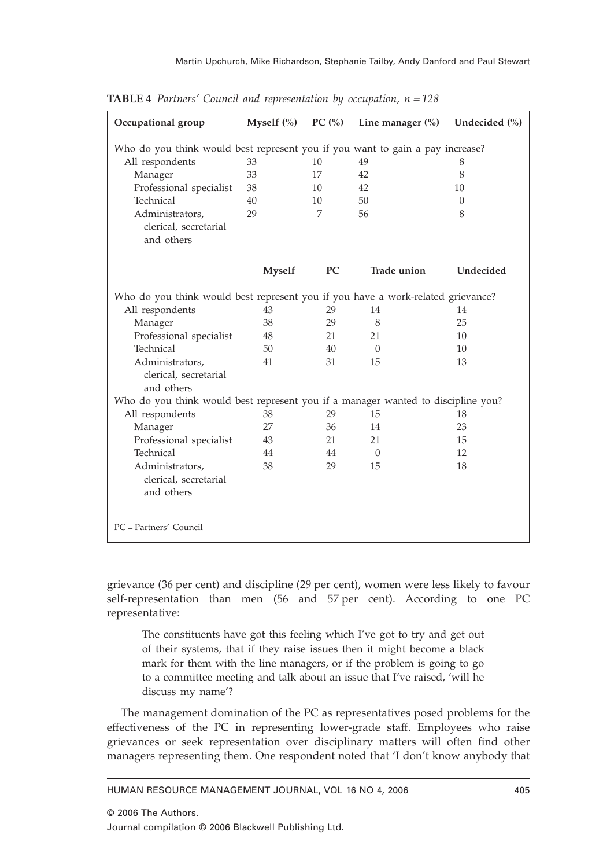| Occupational group                                                               | Myself $(\%)$ PC $(\%)$ |           | Line manager $(\%)$ | Undecided (%) |  |  |  |
|----------------------------------------------------------------------------------|-------------------------|-----------|---------------------|---------------|--|--|--|
| Who do you think would best represent you if you want to gain a pay increase?    |                         |           |                     |               |  |  |  |
| All respondents                                                                  | 33                      | 10        | 49                  | 8             |  |  |  |
| Manager                                                                          | 33                      | 17        | 42                  | 8             |  |  |  |
| Professional specialist                                                          | 38                      | 10        | 42                  | 10            |  |  |  |
| Technical                                                                        | 40                      | 10        | 50                  | $\Omega$      |  |  |  |
| Administrators,                                                                  | 29                      | 7         | 56                  | 8             |  |  |  |
| clerical, secretarial<br>and others                                              |                         |           |                     |               |  |  |  |
|                                                                                  |                         |           |                     |               |  |  |  |
|                                                                                  | <b>Myself</b>           | <b>PC</b> | Trade union         | Undecided     |  |  |  |
| Who do you think would best represent you if you have a work-related grievance?  |                         |           |                     |               |  |  |  |
| All respondents                                                                  | 43                      | 29        | 14                  | 14            |  |  |  |
| Manager                                                                          | 38                      | 29        | 8                   | 25            |  |  |  |
| Professional specialist                                                          | 48                      | 21        | 21                  | 10            |  |  |  |
| Technical                                                                        | 50                      | 40        | $\Omega$            | 10            |  |  |  |
| Administrators,                                                                  | 41                      | 31        | 15                  | 13            |  |  |  |
| clerical, secretarial                                                            |                         |           |                     |               |  |  |  |
| and others                                                                       |                         |           |                     |               |  |  |  |
| Who do you think would best represent you if a manager wanted to discipline you? |                         |           |                     |               |  |  |  |
| All respondents                                                                  | 38                      | 29        | 15                  | 18            |  |  |  |
| Manager                                                                          | 27                      | 36        | 14                  | 23            |  |  |  |
| Professional specialist                                                          | 43                      | 21        | 21                  | 15            |  |  |  |
| Technical                                                                        | 44                      | 44        | $\Omega$            | 12            |  |  |  |
| Administrators,                                                                  | 38                      | 29        | 15                  | 18            |  |  |  |
| clerical, secretarial                                                            |                         |           |                     |               |  |  |  |
| and others                                                                       |                         |           |                     |               |  |  |  |
|                                                                                  |                         |           |                     |               |  |  |  |
| PC = Partners' Council                                                           |                         |           |                     |               |  |  |  |

**TABLE 4** *Partners' Council and representation by occupation, n* = *128*

grievance (36 per cent) and discipline (29 per cent), women were less likely to favour self-representation than men (56 and 57 per cent). According to one PC representative:

The constituents have got this feeling which I've got to try and get out of their systems, that if they raise issues then it might become a black mark for them with the line managers, or if the problem is going to go to a committee meeting and talk about an issue that I've raised, 'will he discuss my name'?

The management domination of the PC as representatives posed problems for the effectiveness of the PC in representing lower-grade staff. Employees who raise grievances or seek representation over disciplinary matters will often find other managers representing them. One respondent noted that 'I don't know anybody that

HUMAN RESOURCE MANAGEMENT JOURNAL, VOL 16 NO 4, 2006 405

Journal compilation © 2006 Blackwell Publishing Ltd.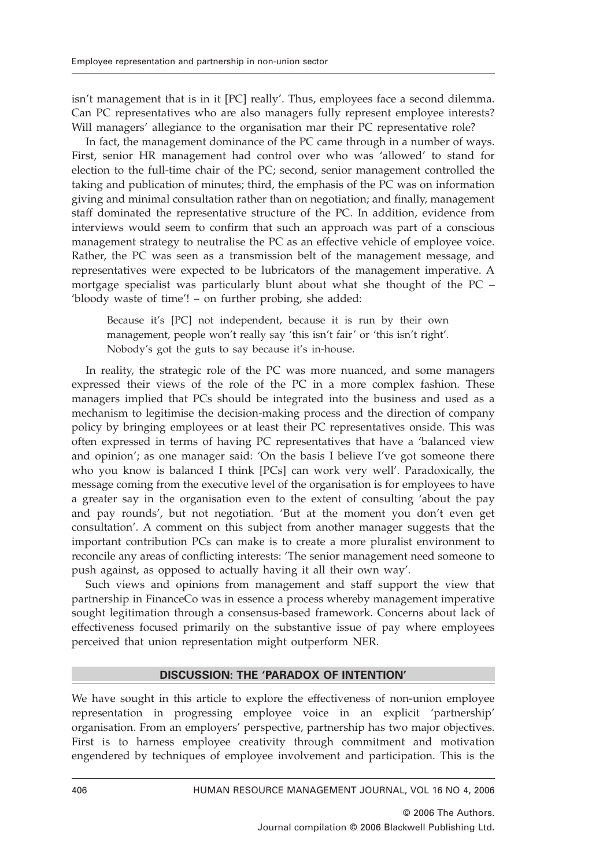isn't management that is in it [PC] really'. Thus, employees face a second dilemma. Can PC representatives who are also managers fully represent employee interests? Will managers' allegiance to the organisation mar their PC representative role?

In fact, the management dominance of the PC came through in a number of ways. First, senior HR management had control over who was 'allowed' to stand for election to the full-time chair of the PC; second, senior management controlled the taking and publication of minutes; third, the emphasis of the PC was on information giving and minimal consultation rather than on negotiation; and finally, management staff dominated the representative structure of the PC. In addition, evidence from interviews would seem to confirm that such an approach was part of a conscious management strategy to neutralise the PC as an effective vehicle of employee voice. Rather, the PC was seen as a transmission belt of the management message, and representatives were expected to be lubricators of the management imperative. A mortgage specialist was particularly blunt about what she thought of the PC – 'bloody waste of time'! – on further probing, she added:

Because it's [PC] not independent, because it is run by their own management, people won't really say 'this isn't fair' or 'this isn't right'. Nobody's got the guts to say because it's in-house.

In reality, the strategic role of the PC was more nuanced, and some managers expressed their views of the role of the PC in a more complex fashion. These managers implied that PCs should be integrated into the business and used as a mechanism to legitimise the decision-making process and the direction of company policy by bringing employees or at least their PC representatives onside. This was often expressed in terms of having PC representatives that have a 'balanced view and opinion'; as one manager said: 'On the basis I believe I've got someone there who you know is balanced I think [PCs] can work very well'. Paradoxically, the message coming from the executive level of the organisation is for employees to have a greater say in the organisation even to the extent of consulting 'about the pay and pay rounds', but not negotiation. 'But at the moment you don't even get consultation'. A comment on this subject from another manager suggests that the important contribution PCs can make is to create a more pluralist environment to reconcile any areas of conflicting interests: 'The senior management need someone to push against, as opposed to actually having it all their own way'.

Such views and opinions from management and staff support the view that partnership in FinanceCo was in essence a process whereby management imperative sought legitimation through a consensus-based framework. Concerns about lack of effectiveness focused primarily on the substantive issue of pay where employees perceived that union representation might outperform NER.

#### **DISCUSSION: THE 'PARADOX OF INTENTION'**

We have sought in this article to explore the effectiveness of non-union employee representation in progressing employee voice in an explicit 'partnership' organisation. From an employers' perspective, partnership has two major objectives. First is to harness employee creativity through commitment and motivation engendered by techniques of employee involvement and participation. This is the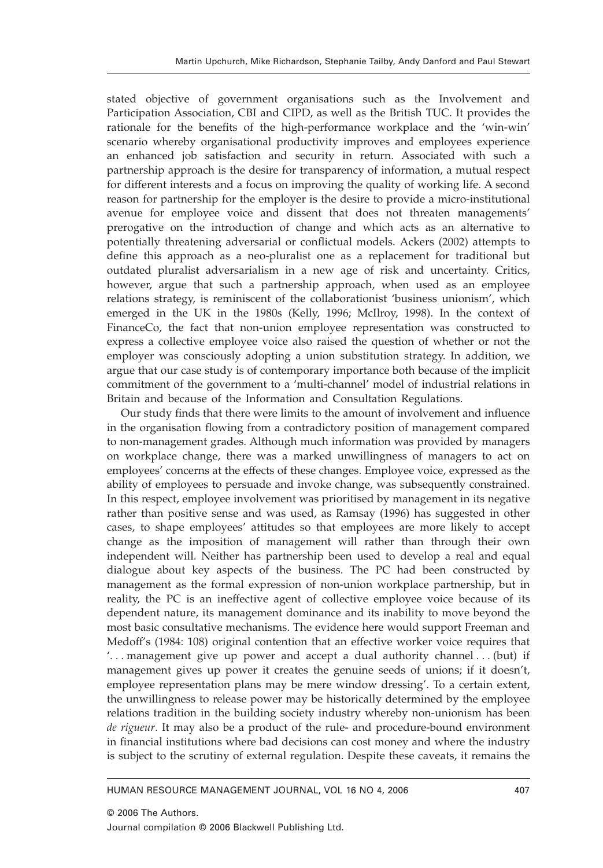stated objective of government organisations such as the Involvement and Participation Association, CBI and CIPD, as well as the British TUC. It provides the rationale for the benefits of the high-performance workplace and the 'win-win' scenario whereby organisational productivity improves and employees experience an enhanced job satisfaction and security in return. Associated with such a partnership approach is the desire for transparency of information, a mutual respect for different interests and a focus on improving the quality of working life. A second reason for partnership for the employer is the desire to provide a micro-institutional avenue for employee voice and dissent that does not threaten managements' prerogative on the introduction of change and which acts as an alternative to potentially threatening adversarial or conflictual models. Ackers (2002) attempts to define this approach as a neo-pluralist one as a replacement for traditional but outdated pluralist adversarialism in a new age of risk and uncertainty. Critics, however, argue that such a partnership approach, when used as an employee relations strategy, is reminiscent of the collaborationist 'business unionism', which emerged in the UK in the 1980s (Kelly, 1996; McIlroy, 1998). In the context of FinanceCo, the fact that non-union employee representation was constructed to express a collective employee voice also raised the question of whether or not the employer was consciously adopting a union substitution strategy. In addition, we argue that our case study is of contemporary importance both because of the implicit commitment of the government to a 'multi-channel' model of industrial relations in Britain and because of the Information and Consultation Regulations.

Our study finds that there were limits to the amount of involvement and influence in the organisation flowing from a contradictory position of management compared to non-management grades. Although much information was provided by managers on workplace change, there was a marked unwillingness of managers to act on employees' concerns at the effects of these changes. Employee voice, expressed as the ability of employees to persuade and invoke change, was subsequently constrained. In this respect, employee involvement was prioritised by management in its negative rather than positive sense and was used, as Ramsay (1996) has suggested in other cases, to shape employees' attitudes so that employees are more likely to accept change as the imposition of management will rather than through their own independent will. Neither has partnership been used to develop a real and equal dialogue about key aspects of the business. The PC had been constructed by management as the formal expression of non-union workplace partnership, but in reality, the PC is an ineffective agent of collective employee voice because of its dependent nature, its management dominance and its inability to move beyond the most basic consultative mechanisms. The evidence here would support Freeman and Medoff's (1984: 108) original contention that an effective worker voice requires that '. . . management give up power and accept a dual authority channel... (but) if management gives up power it creates the genuine seeds of unions; if it doesn't, employee representation plans may be mere window dressing'. To a certain extent, the unwillingness to release power may be historically determined by the employee relations tradition in the building society industry whereby non-unionism has been *de rigueur*. It may also be a product of the rule- and procedure-bound environment in financial institutions where bad decisions can cost money and where the industry is subject to the scrutiny of external regulation. Despite these caveats, it remains the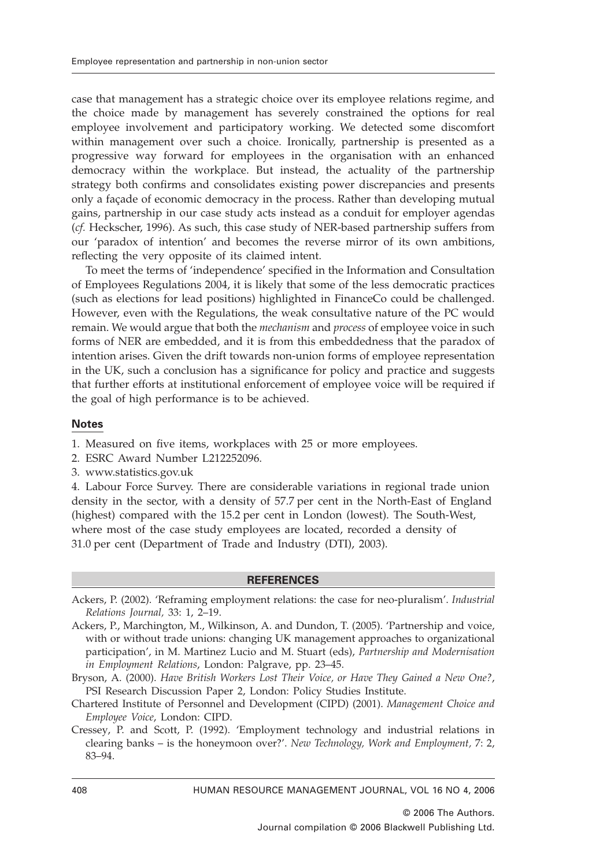case that management has a strategic choice over its employee relations regime, and the choice made by management has severely constrained the options for real employee involvement and participatory working. We detected some discomfort within management over such a choice. Ironically, partnership is presented as a progressive way forward for employees in the organisation with an enhanced democracy within the workplace. But instead, the actuality of the partnership strategy both confirms and consolidates existing power discrepancies and presents only a façade of economic democracy in the process. Rather than developing mutual gains, partnership in our case study acts instead as a conduit for employer agendas (*cf.* Heckscher, 1996). As such, this case study of NER-based partnership suffers from our 'paradox of intention' and becomes the reverse mirror of its own ambitions, reflecting the very opposite of its claimed intent.

To meet the terms of 'independence' specified in the Information and Consultation of Employees Regulations 2004, it is likely that some of the less democratic practices (such as elections for lead positions) highlighted in FinanceCo could be challenged. However, even with the Regulations, the weak consultative nature of the PC would remain. We would argue that both the *mechanism* and *process* of employee voice in such forms of NER are embedded, and it is from this embeddedness that the paradox of intention arises. Given the drift towards non-union forms of employee representation in the UK, such a conclusion has a significance for policy and practice and suggests that further efforts at institutional enforcement of employee voice will be required if the goal of high performance is to be achieved.

#### **Notes**

- 1. Measured on five items, workplaces with 25 or more employees.
- 2. ESRC Award Number L212252096.
- 3. [www.statistics.gov.uk](http://www.statistics.gov.uk)

4. Labour Force Survey. There are considerable variations in regional trade union density in the sector, with a density of 57.7 per cent in the North-East of England (highest) compared with the 15.2 per cent in London (lowest). The South-West, where most of the case study employees are located, recorded a density of 31.0 per cent (Department of Trade and Industry (DTI), 2003).

#### **REFERENCES**

- Ackers, P. (2002). 'Reframing employment relations: the case for neo-pluralism'. *Industrial Relations Journal,* 33: 1, 2–19.
- Ackers, P., Marchington, M., Wilkinson, A. and Dundon, T. (2005). 'Partnership and voice, with or without trade unions: changing UK management approaches to organizational participation', in M. Martinez Lucio and M. Stuart (eds), *Partnership and Modernisation in Employment Relations*, London: Palgrave, pp. 23–45.
- Bryson, A. (2000). *Have British Workers Lost Their Voice, or Have They Gained a New One?*, PSI Research Discussion Paper 2, London: Policy Studies Institute.
- Chartered Institute of Personnel and Development (CIPD) (2001). *Management Choice and Employee Voice*, London: CIPD.
- Cressey, P. and Scott, P. (1992). 'Employment technology and industrial relations in clearing banks – is the honeymoon over?'. *New Technology, Work and Employment,* 7: 2, 83–94.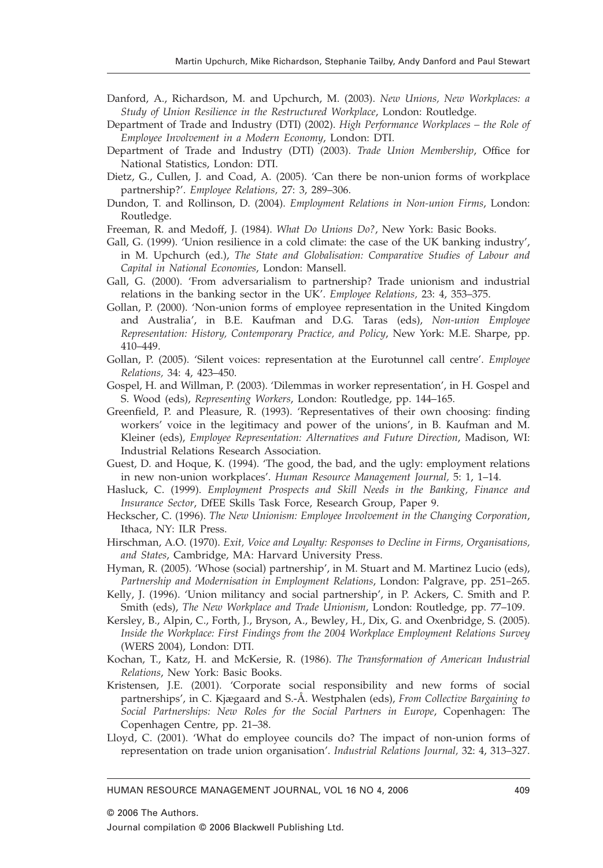- Danford, A., Richardson, M. and Upchurch, M. (2003). *New Unions, New Workplaces: a Study of Union Resilience in the Restructured Workplace*, London: Routledge.
- Department of Trade and Industry (DTI) (2002). *High Performance Workplaces the Role of Employee Involvement in a Modern Economy*, London: DTI.
- Department of Trade and Industry (DTI) (2003). *Trade Union Membership*, Office for National Statistics, London: DTI.
- Dietz, G., Cullen, J. and Coad, A. (2005). 'Can there be non-union forms of workplace partnership?'. *Employee Relations,* 27: 3, 289–306.
- Dundon, T. and Rollinson, D. (2004). *Employment Relations in Non-union Firms*, London: Routledge.
- Freeman, R. and Medoff, J. (1984). *What Do Unions Do?*, New York: Basic Books.
- Gall, G. (1999). 'Union resilience in a cold climate: the case of the UK banking industry', in M. Upchurch (ed.), *The State and Globalisation: Comparative Studies of Labour and Capital in National Economies*, London: Mansell.
- Gall, G. (2000). 'From adversarialism to partnership? Trade unionism and industrial relations in the banking sector in the UK'. *Employee Relations,* 23: 4, 353–375.
- Gollan, P. (2000). 'Non-union forms of employee representation in the United Kingdom and Australia', in B.E. Kaufman and D.G. Taras (eds), *Non-union Employee Representation: History, Contemporary Practice, and Policy*, New York: M.E. Sharpe, pp. 410–449.
- Gollan, P. (2005). 'Silent voices: representation at the Eurotunnel call centre'. *Employee Relations,* 34: 4, 423–450.
- Gospel, H. and Willman, P. (2003). 'Dilemmas in worker representation', in H. Gospel and S. Wood (eds), *Representing Workers*, London: Routledge, pp. 144–165.
- Greenfield, P. and Pleasure, R. (1993). 'Representatives of their own choosing: finding workers' voice in the legitimacy and power of the unions', in B. Kaufman and M. Kleiner (eds), *Employee Representation: Alternatives and Future Direction*, Madison, WI: Industrial Relations Research Association.
- Guest, D. and Hoque, K. (1994). 'The good, the bad, and the ugly: employment relations in new non-union workplaces'. *Human Resource Management Journal,* 5: 1, 1–14.
- Hasluck, C. (1999). *Employment Prospects and Skill Needs in the Banking, Finance and Insurance Sector*, DfEE Skills Task Force, Research Group, Paper 9.
- Heckscher, C. (1996). *The New Unionism: Employee Involvement in the Changing Corporation*, Ithaca, NY: ILR Press.
- Hirschman, A.O. (1970). *Exit, Voice and Loyalty: Responses to Decline in Firms, Organisations, and States*, Cambridge, MA: Harvard University Press.
- Hyman, R. (2005). 'Whose (social) partnership', in M. Stuart and M. Martinez Lucio (eds), *Partnership and Modernisation in Employment Relations*, London: Palgrave, pp. 251–265.
- Kelly, J. (1996). 'Union militancy and social partnership', in P. Ackers, C. Smith and P. Smith (eds), *The New Workplace and Trade Unionism*, London: Routledge, pp. 77–109.
- Kersley, B., Alpin, C., Forth, J., Bryson, A., Bewley, H., Dix, G. and Oxenbridge, S. (2005). *Inside the Workplace: First Findings from the 2004 Workplace Employment Relations Survey* (WERS 2004), London: DTI.
- Kochan, T., Katz, H. and McKersie, R. (1986). *The Transformation of American Industrial Relations*, New York: Basic Books.
- Kristensen, J.E. (2001). 'Corporate social responsibility and new forms of social partnerships', in C. Kjægaard and S.-Å. Westphalen (eds), *From Collective Bargaining to Social Partnerships: New Roles for the Social Partners in Europe*, Copenhagen: The Copenhagen Centre, pp. 21–38.
- Lloyd, C. (2001). 'What do employee councils do? The impact of non-union forms of representation on trade union organisation'. *Industrial Relations Journal,* 32: 4, 313–327.